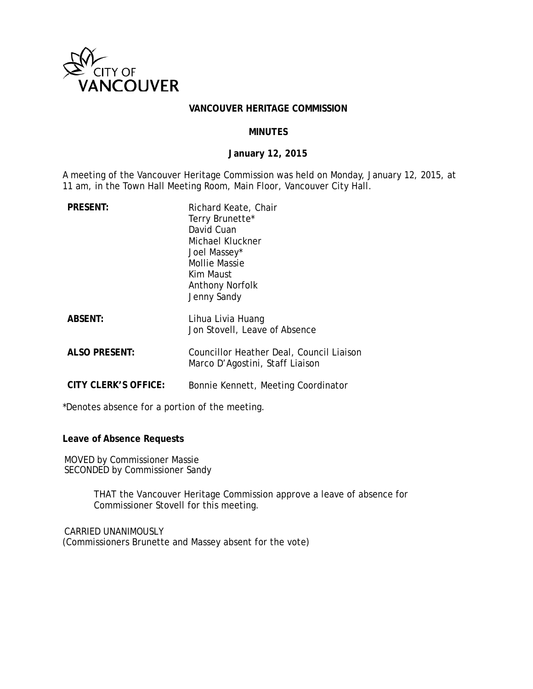

#### **VANCOUVER HERITAGE COMMISSION**

### **MINUTES**

## **January 12, 2015**

A meeting of the Vancouver Heritage Commission was held on Monday, January 12, 2015, at 11 am, in the Town Hall Meeting Room, Main Floor, Vancouver City Hall.

| <b>PRESENT:</b>      | Richard Keate, Chair<br>Terry Brunette*<br>David Cuan<br>Michael Kluckner<br>Joel Massey*<br>Mollie Massie<br>Kim Maust<br>Anthony Norfolk<br>Jenny Sandy |
|----------------------|-----------------------------------------------------------------------------------------------------------------------------------------------------------|
| <b>ABSENT:</b>       | Lihua Livia Huang<br>Jon Stovell, Leave of Absence                                                                                                        |
| <b>ALSO PRESENT:</b> | Councillor Heather Deal, Council Liaison<br>Marco D'Agostini, Staff Liaison                                                                               |
| CITY CLERK'S OFFICE: | Bonnie Kennett, Meeting Coordinator                                                                                                                       |

\*Denotes absence for a portion of the meeting.

### **Leave of Absence Requests**

MOVED by Commissioner Massie SECONDED by Commissioner Sandy

> THAT the Vancouver Heritage Commission approve a leave of absence for Commissioner Stovell for this meeting.

CARRIED UNANIMOUSLY (Commissioners Brunette and Massey absent for the vote)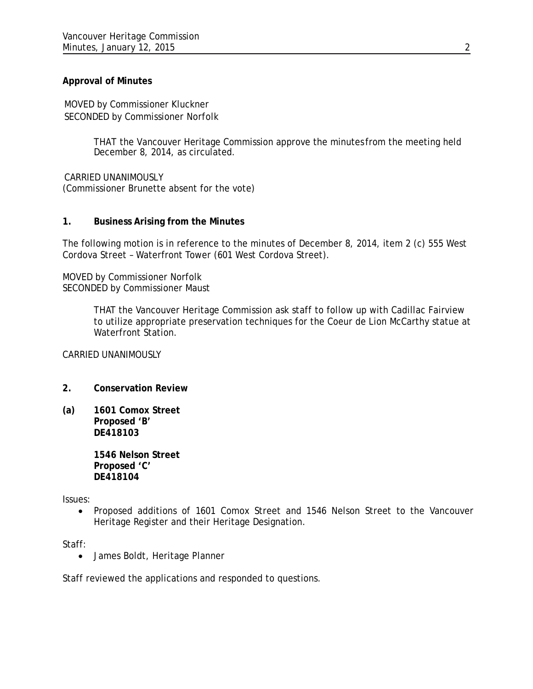# **Approval of Minutes**

MOVED by Commissioner Kluckner SECONDED by Commissioner Norfolk

> THAT the Vancouver Heritage Commission approve the minutes from the meeting held December 8, 2014, as circulated.

CARRIED UNANIMOUSLY (Commissioner Brunette absent for the vote)

## **1. Business Arising from the Minutes**

The following motion is in reference to the minutes of December 8, 2014, item 2 (c) 555 West Cordova Street – Waterfront Tower (601 West Cordova Street).

MOVED by Commissioner Norfolk SECONDED by Commissioner Maust

> THAT the Vancouver Heritage Commission ask staff to follow up with Cadillac Fairview to utilize appropriate preservation techniques for the Coeur de Lion McCarthy statue at Waterfront Station.

CARRIED UNANIMOUSLY

- **2. Conservation Review**
- **(a) 1601 Comox Street Proposed 'B' DE418103**

**1546 Nelson Street Proposed 'C' DE418104**

Issues:

• Proposed additions of 1601 Comox Street and 1546 Nelson Street to the Vancouver Heritage Register and their Heritage Designation.

Staff:

• James Boldt, Heritage Planner

Staff reviewed the applications and responded to questions.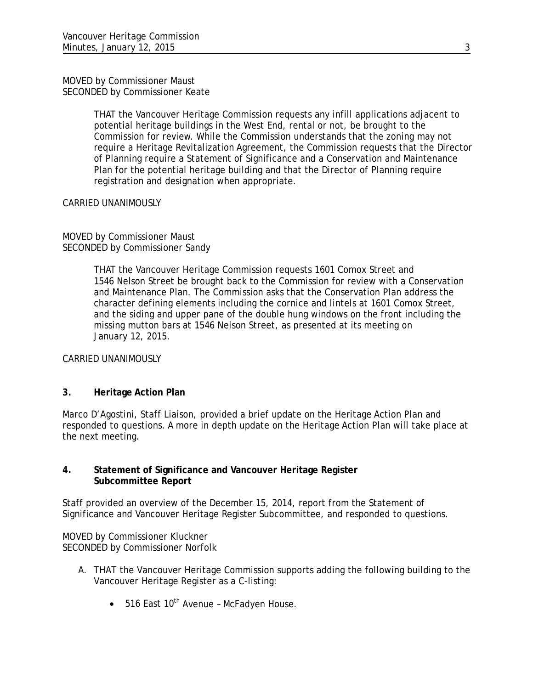MOVED by Commissioner Maust SECONDED by Commissioner Keate

> THAT the Vancouver Heritage Commission requests any infill applications adjacent to potential heritage buildings in the West End, rental or not, be brought to the Commission for review. While the Commission understands that the zoning may not require a Heritage Revitalization Agreement, the Commission requests that the Director of Planning require a Statement of Significance and a Conservation and Maintenance Plan for the potential heritage building and that the Director of Planning require registration and designation when appropriate.

### CARRIED UNANIMOUSLY

## MOVED by Commissioner Maust SECONDED by Commissioner Sandy

THAT the Vancouver Heritage Commission requests 1601 Comox Street and 1546 Nelson Street be brought back to the Commission for review with a Conservation and Maintenance Plan. The Commission asks that the Conservation Plan address the character defining elements including the cornice and lintels at 1601 Comox Street, and the siding and upper pane of the double hung windows on the front including the missing mutton bars at 1546 Nelson Street, as presented at its meeting on January 12, 2015.

CARRIED UNANIMOUSLY

# **3. Heritage Action Plan**

Marco D'Agostini, Staff Liaison, provided a brief update on the Heritage Action Plan and responded to questions. A more in depth update on the Heritage Action Plan will take place at the next meeting.

# **4. Statement of Significance and Vancouver Heritage Register Subcommittee Report**

Staff provided an overview of the December 15, 2014, report from the Statement of Significance and Vancouver Heritage Register Subcommittee, and responded to questions.

MOVED by Commissioner Kluckner SECONDED by Commissioner Norfolk

- A. THAT the Vancouver Heritage Commission supports adding the following building to the Vancouver Heritage Register as a C-listing:
	- $\bullet$  516 East 10<sup>th</sup> Avenue McFadyen House.